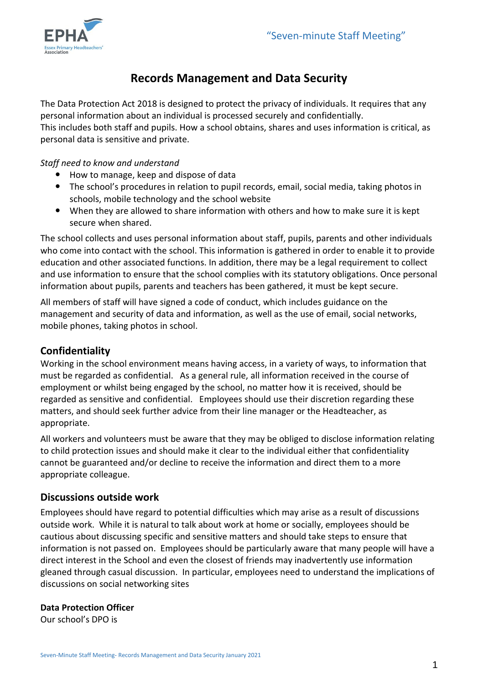

# **Records Management and Data Security**

The Data Protection Act 2018 is designed to protect the privacy of individuals. It requires that any personal information about an individual is processed securely and confidentially. This includes both staff and pupils. How a school obtains, shares and uses information is critical, as personal data is sensitive and private.

#### *Staff need to know and understand*

- How to manage, keep and dispose of data
- The school's procedures in relation to pupil records, email, social media, taking photos in schools, mobile technology and the school website
- When they are allowed to share information with others and how to make sure it is kept secure when shared.

The school collects and uses personal information about staff, pupils, parents and other individuals who come into contact with the school. This information is gathered in order to enable it to provide education and other associated functions. In addition, there may be a legal requirement to collect and use information to ensure that the school complies with its statutory obligations. Once personal information about pupils, parents and teachers has been gathered, it must be kept secure.

All members of staff will have signed a code of conduct, which includes guidance on the management and security of data and information, as well as the use of email, social networks, mobile phones, taking photos in school.

# **Confidentiality**

Working in the school environment means having access, in a variety of ways, to information that must be regarded as confidential. As a general rule, all information received in the course of employment or whilst being engaged by the school, no matter how it is received, should be regarded as sensitive and confidential. Employees should use their discretion regarding these matters, and should seek further advice from their line manager or the Headteacher, as appropriate.

All workers and volunteers must be aware that they may be obliged to disclose information relating to child protection issues and should make it clear to the individual either that confidentiality cannot be guaranteed and/or decline to receive the information and direct them to a more appropriate colleague.

# **Discussions outside work**

Employees should have regard to potential difficulties which may arise as a result of discussions outside work. While it is natural to talk about work at home or socially, employees should be cautious about discussing specific and sensitive matters and should take steps to ensure that information is not passed on. Employees should be particularly aware that many people will have a direct interest in the School and even the closest of friends may inadvertently use information gleaned through casual discussion. In particular, employees need to understand the implications of discussions on social networking sites

#### **Data Protection Officer**

Our school's DPO is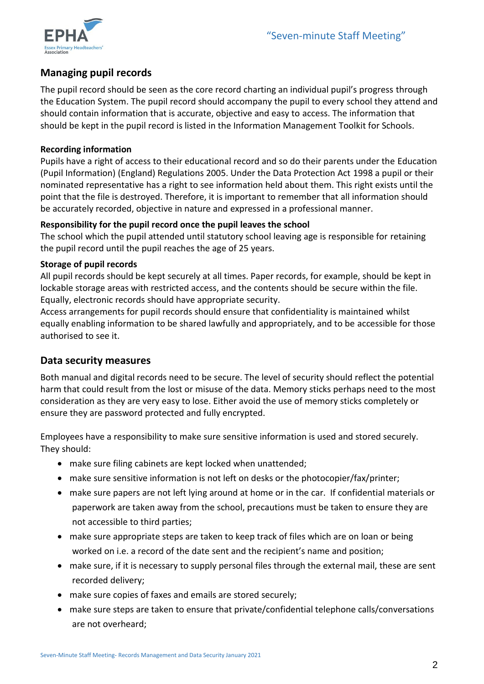

# **Managing pupil records**

The pupil record should be seen as the core record charting an individual pupil's progress through the Education System. The pupil record should accompany the pupil to every school they attend and should contain information that is accurate, objective and easy to access. The information that should be kept in the pupil record is listed in the Information Management Toolkit for Schools.

#### **Recording information**

Pupils have a right of access to their educational record and so do their parents under the Education (Pupil Information) (England) Regulations 2005. Under the Data Protection Act 1998 a pupil or their nominated representative has a right to see information held about them. This right exists until the point that the file is destroyed. Therefore, it is important to remember that all information should be accurately recorded, objective in nature and expressed in a professional manner.

#### **Responsibility for the pupil record once the pupil leaves the school**

The school which the pupil attended until statutory school leaving age is responsible for retaining the pupil record until the pupil reaches the age of 25 years.

#### **Storage of pupil records**

All pupil records should be kept securely at all times. Paper records, for example, should be kept in lockable storage areas with restricted access, and the contents should be secure within the file. Equally, electronic records should have appropriate security.

Access arrangements for pupil records should ensure that confidentiality is maintained whilst equally enabling information to be shared lawfully and appropriately, and to be accessible for those authorised to see it.

# **Data security measures**

Both manual and digital records need to be secure. The level of security should reflect the potential harm that could result from the lost or misuse of the data. Memory sticks perhaps need to the most consideration as they are very easy to lose. Either avoid the use of memory sticks completely or ensure they are password protected and fully encrypted.

Employees have a responsibility to make sure sensitive information is used and stored securely. They should:

- make sure filing cabinets are kept locked when unattended;
- make sure sensitive information is not left on desks or the photocopier/fax/printer;
- make sure papers are not left lying around at home or in the car. If confidential materials or paperwork are taken away from the school, precautions must be taken to ensure they are not accessible to third parties;
- make sure appropriate steps are taken to keep track of files which are on loan or being worked on i.e. a record of the date sent and the recipient's name and position;
- make sure, if it is necessary to supply personal files through the external mail, these are sent recorded delivery;
- make sure copies of faxes and emails are stored securely;
- make sure steps are taken to ensure that private/confidential telephone calls/conversations are not overheard;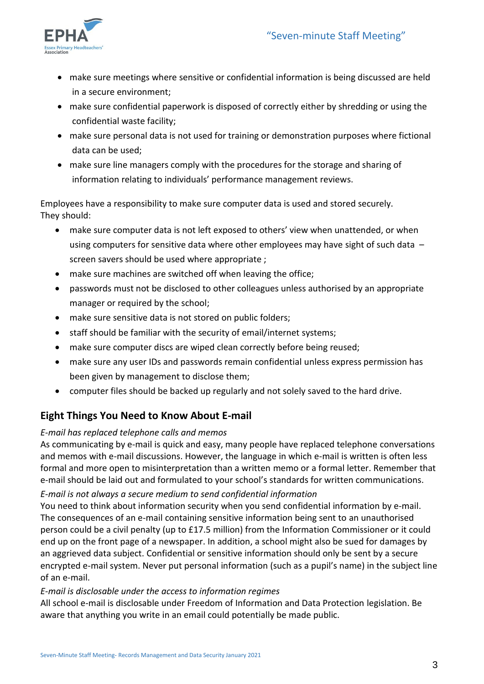

- make sure meetings where sensitive or confidential information is being discussed are held in a secure environment;
- make sure confidential paperwork is disposed of correctly either by shredding or using the confidential waste facility;
- make sure personal data is not used for training or demonstration purposes where fictional data can be used;
- make sure line managers comply with the procedures for the storage and sharing of information relating to individuals' performance management reviews.

Employees have a responsibility to make sure computer data is used and stored securely. They should:

- make sure computer data is not left exposed to others' view when unattended, or when using computers for sensitive data where other employees may have sight of such data  $$ screen savers should be used where appropriate ;
- make sure machines are switched off when leaving the office;
- passwords must not be disclosed to other colleagues unless authorised by an appropriate manager or required by the school;
- make sure sensitive data is not stored on public folders;
- staff should be familiar with the security of email/internet systems;
- make sure computer discs are wiped clean correctly before being reused;
- make sure any user IDs and passwords remain confidential unless express permission has been given by management to disclose them;
- computer files should be backed up regularly and not solely saved to the hard drive.

# **Eight Things You Need to Know About E-mail**

# *E-mail has replaced telephone calls and memos*

As communicating by e-mail is quick and easy, many people have replaced telephone conversations and memos with e-mail discussions. However, the language in which e-mail is written is often less formal and more open to misinterpretation than a written memo or a formal letter. Remember that e-mail should be laid out and formulated to your school's standards for written communications. *E-mail is not always a secure medium to send confidential information*

# You need to think about information security when you send confidential information by e-mail. The consequences of an e-mail containing sensitive information being sent to an unauthorised person could be a civil penalty (up to £17.5 million) from the Information Commissioner or it could end up on the front page of a newspaper. In addition, a school might also be sued for damages by an aggrieved data subject. Confidential or sensitive information should only be sent by a secure encrypted e-mail system. Never put personal information (such as a pupil's name) in the subject line of an e-mail.

# *E-mail is disclosable under the access to information regimes*

All school e-mail is disclosable under Freedom of Information and Data Protection legislation. Be aware that anything you write in an email could potentially be made public.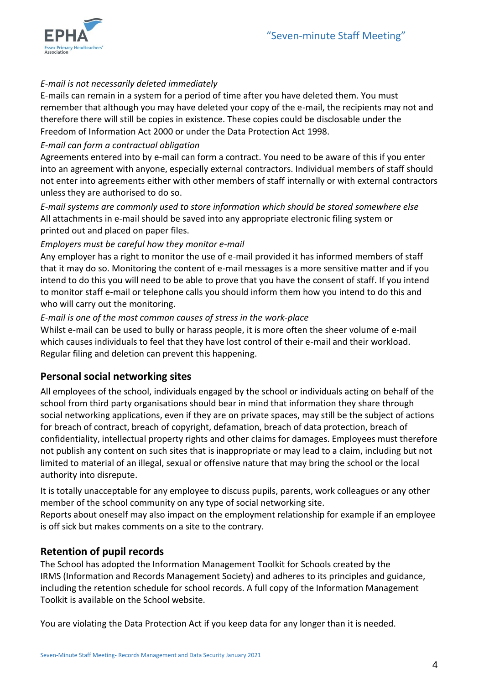

#### *E-mail is not necessarily deleted immediately*

E-mails can remain in a system for a period of time after you have deleted them. You must remember that although you may have deleted your copy of the e-mail, the recipients may not and therefore there will still be copies in existence. These copies could be disclosable under the Freedom of Information Act 2000 or under the Data Protection Act 1998.

#### *E-mail can form a contractual obligation*

Agreements entered into by e-mail can form a contract. You need to be aware of this if you enter into an agreement with anyone, especially external contractors. Individual members of staff should not enter into agreements either with other members of staff internally or with external contractors unless they are authorised to do so.

*E-mail systems are commonly used to store information which should be stored somewhere else* All attachments in e-mail should be saved into any appropriate electronic filing system or printed out and placed on paper files.

#### *Employers must be careful how they monitor e-mail*

Any employer has a right to monitor the use of e-mail provided it has informed members of staff that it may do so. Monitoring the content of e-mail messages is a more sensitive matter and if you intend to do this you will need to be able to prove that you have the consent of staff. If you intend to monitor staff e-mail or telephone calls you should inform them how you intend to do this and who will carry out the monitoring.

#### *E-mail is one of the most common causes of stress in the work-place*

Whilst e-mail can be used to bully or harass people, it is more often the sheer volume of e-mail which causes individuals to feel that they have lost control of their e-mail and their workload. Regular filing and deletion can prevent this happening.

# **Personal social networking sites**

All employees of the school, individuals engaged by the school or individuals acting on behalf of the school from third party organisations should bear in mind that information they share through social networking applications, even if they are on private spaces, may still be the subject of actions for breach of contract, breach of copyright, defamation, breach of data protection, breach of confidentiality, intellectual property rights and other claims for damages. Employees must therefore not publish any content on such sites that is inappropriate or may lead to a claim, including but not limited to material of an illegal, sexual or offensive nature that may bring the school or the local authority into disrepute.

It is totally unacceptable for any employee to discuss pupils, parents, work colleagues or any other member of the school community on any type of social networking site. Reports about oneself may also impact on the employment relationship for example if an employee is off sick but makes comments on a site to the contrary.

# **Retention of pupil records**

The School has adopted the Information Management Toolkit for Schools created by the IRMS (Information and Records Management Society) and adheres to its principles and guidance, including the retention schedule for school records. A full copy of the Information Management Toolkit is available on the School website.

You are violating the Data Protection Act if you keep data for any longer than it is needed.